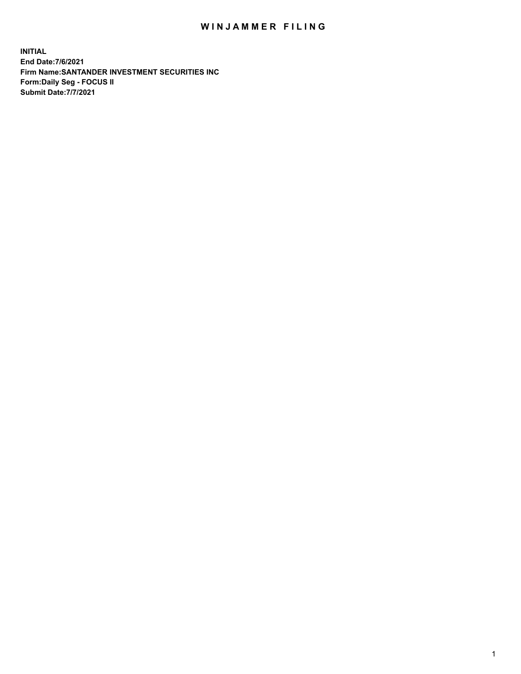## WIN JAMMER FILING

**INITIAL End Date:7/6/2021 Firm Name:SANTANDER INVESTMENT SECURITIES INC Form:Daily Seg - FOCUS II Submit Date:7/7/2021**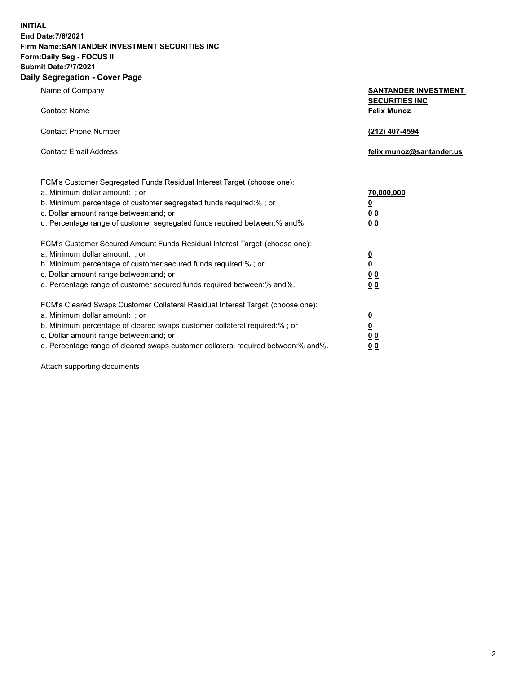**INITIAL End Date:7/6/2021 Firm Name:SANTANDER INVESTMENT SECURITIES INC Form:Daily Seg - FOCUS II Submit Date:7/7/2021 Daily Segregation - Cover Page**

| $\gamma$ ocgi cganon - oo $\gamma$ or i ago                                       |                                                      |  |  |  |  |
|-----------------------------------------------------------------------------------|------------------------------------------------------|--|--|--|--|
| Name of Company                                                                   | <b>SANTANDER INVESTMENT</b><br><b>SECURITIES INC</b> |  |  |  |  |
| <b>Contact Name</b>                                                               | <b>Felix Munoz</b>                                   |  |  |  |  |
| <b>Contact Phone Number</b>                                                       | (212) 407-4594                                       |  |  |  |  |
| <b>Contact Email Address</b>                                                      | felix.munoz@santander.us                             |  |  |  |  |
| FCM's Customer Segregated Funds Residual Interest Target (choose one):            |                                                      |  |  |  |  |
| a. Minimum dollar amount: ; or                                                    | 70,000,000                                           |  |  |  |  |
| b. Minimum percentage of customer segregated funds required:% ; or                | <u>0</u>                                             |  |  |  |  |
| c. Dollar amount range between: and; or                                           | 0 <sub>0</sub>                                       |  |  |  |  |
| d. Percentage range of customer segregated funds required between:% and%.         | 0 <sub>0</sub>                                       |  |  |  |  |
| FCM's Customer Secured Amount Funds Residual Interest Target (choose one):        |                                                      |  |  |  |  |
| a. Minimum dollar amount: ; or                                                    | $\frac{0}{0}$                                        |  |  |  |  |
| b. Minimum percentage of customer secured funds required:%; or                    |                                                      |  |  |  |  |
| c. Dollar amount range between: and; or                                           | 0 <sub>0</sub>                                       |  |  |  |  |
| d. Percentage range of customer secured funds required between:% and%.            | 0 <sub>0</sub>                                       |  |  |  |  |
| FCM's Cleared Swaps Customer Collateral Residual Interest Target (choose one):    |                                                      |  |  |  |  |
| a. Minimum dollar amount: ; or                                                    | <u>0</u>                                             |  |  |  |  |
| b. Minimum percentage of cleared swaps customer collateral required:% ; or        | $\overline{\mathbf{0}}$                              |  |  |  |  |
| c. Dollar amount range between: and; or                                           | 0 <sub>0</sub>                                       |  |  |  |  |
| d. Percentage range of cleared swaps customer collateral required between:% and%. | 0 <sub>0</sub>                                       |  |  |  |  |

Attach supporting documents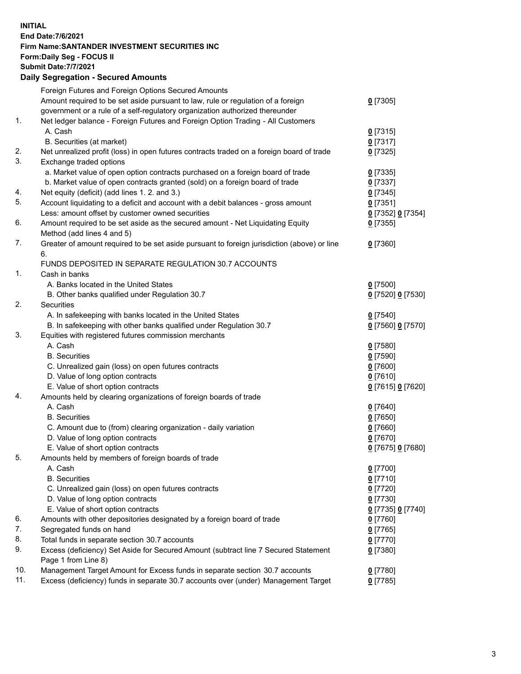## **INITIAL End Date:7/6/2021 Firm Name:SANTANDER INVESTMENT SECURITIES INC Form:Daily Seg - FOCUS II Submit Date:7/7/2021 Daily Segregation - Secured Amounts** Foreign Futures and Foreign Options Secured Amounts Amount required to be set aside pursuant to law, rule or regulation of a foreign government or a rule of a self-regulatory organization authorized thereunder 1. Net ledger balance - Foreign Futures and Foreign Option Trading - All Customers A. Cash **0** [7315] B. Securities (at market) **0** [7317] 2. Net unrealized profit (loss) in open futures contracts traded on a foreign board of trade **0** [7325] 3. Exchange traded options

|     | a. Market value of open option contracts purchased on a foreign board of trade<br>b. Market value of open contracts granted (sold) on a foreign board of trade | $0$ [7335]<br>$0$ [7337] |
|-----|----------------------------------------------------------------------------------------------------------------------------------------------------------------|--------------------------|
| 4.  | Net equity (deficit) (add lines 1. 2. and 3.)                                                                                                                  | $0$ [7345]               |
| 5.  | Account liquidating to a deficit and account with a debit balances - gross amount                                                                              | $0$ [7351]               |
|     | Less: amount offset by customer owned securities                                                                                                               | 0 [7352] 0 [7354]        |
| 6.  | Amount required to be set aside as the secured amount - Net Liquidating Equity                                                                                 | $0$ [7355]               |
|     | Method (add lines 4 and 5)                                                                                                                                     |                          |
| 7.  | Greater of amount required to be set aside pursuant to foreign jurisdiction (above) or line                                                                    | $0$ [7360]               |
|     | 6.                                                                                                                                                             |                          |
|     | FUNDS DEPOSITED IN SEPARATE REGULATION 30.7 ACCOUNTS                                                                                                           |                          |
| 1.  | Cash in banks                                                                                                                                                  |                          |
|     | A. Banks located in the United States                                                                                                                          | $0$ [7500]               |
|     | B. Other banks qualified under Regulation 30.7                                                                                                                 | 0 [7520] 0 [7530]        |
| 2.  | Securities                                                                                                                                                     |                          |
|     | A. In safekeeping with banks located in the United States                                                                                                      | $0$ [7540]               |
|     | B. In safekeeping with other banks qualified under Regulation 30.7                                                                                             | 0 [7560] 0 [7570]        |
| 3.  | Equities with registered futures commission merchants                                                                                                          |                          |
|     | A. Cash                                                                                                                                                        | $0$ [7580]               |
|     | <b>B.</b> Securities                                                                                                                                           | $0$ [7590]               |
|     | C. Unrealized gain (loss) on open futures contracts                                                                                                            | $0$ [7600]               |
|     | D. Value of long option contracts                                                                                                                              | $0$ [7610]               |
|     | E. Value of short option contracts                                                                                                                             | 0 [7615] 0 [7620]        |
| 4.  | Amounts held by clearing organizations of foreign boards of trade                                                                                              |                          |
|     | A. Cash                                                                                                                                                        | $0$ [7640]               |
|     | <b>B.</b> Securities                                                                                                                                           | $0$ [7650]               |
|     | C. Amount due to (from) clearing organization - daily variation                                                                                                | $0$ [7660]               |
|     | D. Value of long option contracts                                                                                                                              | $0$ [7670]               |
|     | E. Value of short option contracts                                                                                                                             | 0 [7675] 0 [7680]        |
| 5.  | Amounts held by members of foreign boards of trade                                                                                                             |                          |
|     | A. Cash                                                                                                                                                        | $0$ [7700]               |
|     | <b>B.</b> Securities                                                                                                                                           | $0$ [7710]               |
|     | C. Unrealized gain (loss) on open futures contracts                                                                                                            | $0$ [7720]               |
|     | D. Value of long option contracts                                                                                                                              | $0$ [7730]               |
|     | E. Value of short option contracts                                                                                                                             | 0 [7735] 0 [7740]        |
| 6.  | Amounts with other depositories designated by a foreign board of trade                                                                                         | $0$ [7760]               |
| 7.  | Segregated funds on hand                                                                                                                                       | $0$ [7765]               |
| 8.  | Total funds in separate section 30.7 accounts                                                                                                                  | $0$ [7770]               |
| 9.  | Excess (deficiency) Set Aside for Secured Amount (subtract line 7 Secured Statement                                                                            | $0$ [7380]               |
|     | Page 1 from Line 8)                                                                                                                                            |                          |
| 10. | Management Target Amount for Excess funds in separate section 30.7 accounts                                                                                    | $0$ [7780]               |
| 11. | Excess (deficiency) funds in separate 30.7 accounts over (under) Management Target                                                                             | $0$ [7785]               |

**0** [7305]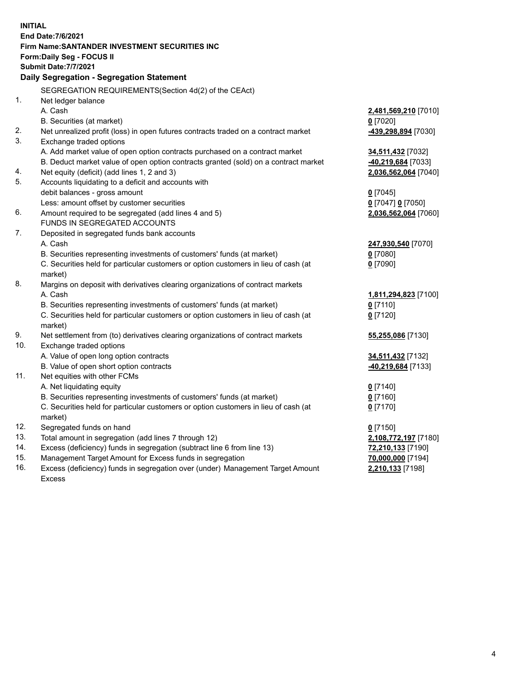| <b>INITIAL</b> |                                                                                                |                                        |
|----------------|------------------------------------------------------------------------------------------------|----------------------------------------|
|                | End Date: 7/6/2021                                                                             |                                        |
|                | Firm Name: SANTANDER INVESTMENT SECURITIES INC                                                 |                                        |
|                | <b>Form:Daily Seg - FOCUS II</b>                                                               |                                        |
|                | <b>Submit Date: 7/7/2021</b>                                                                   |                                        |
|                | Daily Segregation - Segregation Statement                                                      |                                        |
|                | SEGREGATION REQUIREMENTS(Section 4d(2) of the CEAct)                                           |                                        |
| 1.             | Net ledger balance                                                                             |                                        |
|                | A. Cash                                                                                        | 2,481,569,210 [7010]                   |
|                | B. Securities (at market)                                                                      | $0$ [7020]                             |
| 2.             | Net unrealized profit (loss) in open futures contracts traded on a contract market             | -439,298,894 [7030]                    |
| 3.             | Exchange traded options                                                                        |                                        |
|                | A. Add market value of open option contracts purchased on a contract market                    | 34,511,432 [7032]                      |
|                | B. Deduct market value of open option contracts granted (sold) on a contract market            | -40,219,684 [7033]                     |
| 4.             | Net equity (deficit) (add lines 1, 2 and 3)                                                    | 2,036,562,064 [7040]                   |
| 5.             | Accounts liquidating to a deficit and accounts with                                            |                                        |
|                | debit balances - gross amount                                                                  | $0$ [7045]                             |
|                | Less: amount offset by customer securities                                                     | 0 [7047] 0 [7050]                      |
| 6.             | Amount required to be segregated (add lines 4 and 5)                                           | 2,036,562,064 [7060]                   |
|                | FUNDS IN SEGREGATED ACCOUNTS                                                                   |                                        |
| 7.             | Deposited in segregated funds bank accounts                                                    |                                        |
|                | A. Cash                                                                                        | 247,930,540 [7070]                     |
|                | B. Securities representing investments of customers' funds (at market)                         | $0$ [7080]                             |
|                | C. Securities held for particular customers or option customers in lieu of cash (at            | $0$ [7090]                             |
|                | market)                                                                                        |                                        |
| 8.             | Margins on deposit with derivatives clearing organizations of contract markets                 |                                        |
|                | A. Cash                                                                                        | 1,811,294,823 [7100]                   |
|                | B. Securities representing investments of customers' funds (at market)                         | $0$ [7110]                             |
|                | C. Securities held for particular customers or option customers in lieu of cash (at            | $0$ [7120]                             |
|                | market)                                                                                        |                                        |
| 9.             | Net settlement from (to) derivatives clearing organizations of contract markets                | 55,255,086 [7130]                      |
| 10.            | Exchange traded options                                                                        |                                        |
|                | A. Value of open long option contracts                                                         | 34,511,432 [7132]                      |
|                | B. Value of open short option contracts                                                        | -40,219,684 [7133]                     |
| 11.            | Net equities with other FCMs                                                                   |                                        |
|                | A. Net liquidating equity                                                                      | $0$ [7140]                             |
|                | B. Securities representing investments of customers' funds (at market)                         | $0$ [7160]                             |
|                | C. Securities held for particular customers or option customers in lieu of cash (at<br>market) | $0$ [7170]                             |
| 12.            | Segregated funds on hand                                                                       |                                        |
| 13.            | Total amount in segregation (add lines 7 through 12)                                           | $0$ [7150]                             |
| 14.            | Excess (deficiency) funds in segregation (subtract line 6 from line 13)                        | 2,108,772,197 [7180]                   |
| 15.            | Management Target Amount for Excess funds in segregation                                       | 72,210,133 [7190]<br>70,000,000 [7194] |
| 16.            | Excess (deficiency) funds in segregation over (under) Management Target Amount                 | 2,210,133 [7198]                       |
|                | <b>Excess</b>                                                                                  |                                        |
|                |                                                                                                |                                        |